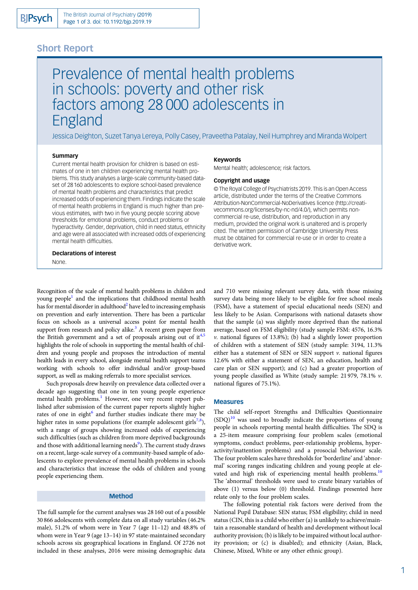## Short Report

# Prevalence of mental health problems in schools: poverty and other risk factors among 28 000 adolescents in England

Jessica Deighton, Suzet Tanya Lereya, Polly Casey, Praveetha Patalay, Neil Humphrey and Miranda Wolpert

#### Summary

Current mental health provision for children is based on estimates of one in ten children experiencing mental health problems. This study analyses a large-scale community-based dataset of 28 160 adolescents to explore school-based prevalence of mental health problems and characteristics that predict increased odds of experiencing them. Findings indicate the scale of mental health problems in England is much higher than previous estimates, with two in five young people scoring above thresholds for emotional problems, conduct problems or hyperactivity. Gender, deprivation, child in need status, ethnicity and age were all associated with increased odds of experiencing mental health difficulties.

## Declarations of interest

None.

#### Keywords

Mental health; adolescence; risk factors.

#### Copyright and usage

© The Royal College of Psychiatrists 2019. This is an Open Access article, distributed under the terms of the Creative Commons Attribution-NonCommercial-NoDerivatives licence (http://creativecommons.org/licenses/by-nc-nd/4.0/), which permits noncommercial re-use, distribution, and reproduction in any medium, provided the original work is unaltered and is properly cited. The written permission of Cambridge University Press must be obtained for commercial re-use or in order to create a derivative work.

Recognition of the scale of mental health problems in children and young people<sup>1</sup> and the implications that childhood mental health has for mental disorder in adulthood<sup>2</sup> have led to increasing emphasis on prevention and early intervention. There has been a particular focus on schools as a universal access point for mental health support from research and policy alike.<sup>[3](#page-2-0)</sup> A recent green paper from the British government and a set of proposals arising out of  $it<sup>4,5</sup>$  $it<sup>4,5</sup>$  $it<sup>4,5</sup>$ highlights the role of schools in supporting the mental health of children and young people and proposes the introduction of mental health leads in every school, alongside mental health support teams working with schools to offer individual and/or group-based support, as well as making referrals to more specialist services.

Such proposals drew heavily on prevalence data collected over a decade ago suggesting that one in ten young people experience mental health problems.<sup>[1](#page-2-0)</sup> However, one very recent report published after submission of the current paper reports slightly higher rates of one in eight $6$  and further studies indicate there may be higher rates in some populations (for example adolescent girls<sup>[7,8](#page-2-0)</sup>), with a range of groups showing increased odds of experiencing such difficulties (such as children from more deprived backgrounds and those with additional learning needs<sup>[9](#page-2-0)</sup>). The current study draws on a recent, large-scale survey of a community-based sample of adolescents to explore prevalence of mental health problems in schools and characteristics that increase the odds of children and young people experiencing them.

## Method

The full sample for the current analyses was 28 160 out of a possible 30 866 adolescents with complete data on all study variables (46.2% male), 51.2% of whom were in Year 7 (age 11–12) and 48.8% of whom were in Year 9 (age 13–14) in 97 state-maintained secondary schools across six geographical locations in England. Of 2726 not included in these analyses, 2016 were missing demographic data

and 710 were missing relevant survey data, with those missing survey data being more likely to be eligible for free school meals (FSM), have a statement of special educational needs (SEN) and less likely to be Asian. Comparisons with national datasets show that the sample (a) was slightly more deprived than the national average, based on FSM eligibility (study sample FSM: 4576, 16.3%  $\nu$ . national figures of 13.8%); (b) had a slightly lower proportion of children with a statement of SEN (study sample: 3194, 11.3% either has a statement of SEN or SEN support  $\nu$ . national figures 12.6% with either a statement of SEN, an education, health and care plan or SEN support); and (c) had a greater proportion of young people classified as White (study sample: 21 979, 78.1% v. national figures of 75.1%).

## Measures

The child self-report Strengths and Difficulties Questionnaire  $(SDQ)^{10}$  was used to broadly indicate the proportions of young people in schools reporting mental health difficulties. The SDQ is a 25-item measure comprising four problem scales (emotional symptoms, conduct problems, peer-relationship problems, hyperactivity/inattention problems) and a prosocial behaviour scale. The four problem scales have thresholds for 'borderline' and 'abnormal' scoring ranges indicating children and young people at elevated and high risk of experiencing mental health problems.<sup>10</sup> The 'abnormal' thresholds were used to create binary variables of above (1) versus below (0) threshold. Findings presented here relate only to the four problem scales.

The following potential risk factors were derived from the National Pupil Database: SEN status; FSM eligibility; child in need status (CIN, this is a child who either (a) is unlikely to achieve/maintain a reasonable standard of health and development without local authority provision; (b) is likely to be impaired without local authority provision; or (c) is disabled); and ethnicity (Asian, Black, Chinese, Mixed, White or any other ethnic group).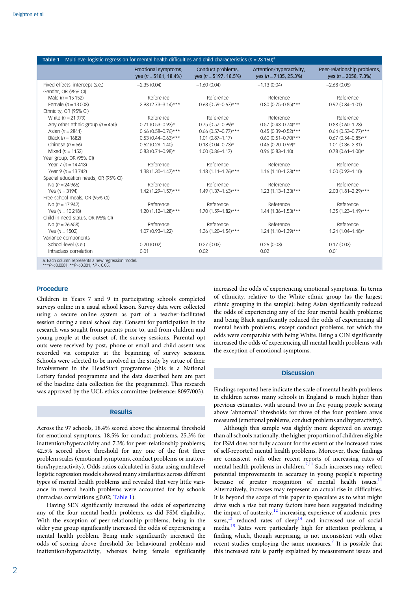| Multilevel logistic regression for mental health difficulties and child characteristics ( $n = 28$ 160) <sup>a</sup><br>Table 1 |                                                   |                                                |                                                       |                                                         |
|---------------------------------------------------------------------------------------------------------------------------------|---------------------------------------------------|------------------------------------------------|-------------------------------------------------------|---------------------------------------------------------|
|                                                                                                                                 | Emotional symptoms,<br>yes ( $n = 5181, 18.4\%$ ) | Conduct problems,<br>yes ( $n = 5197, 18.5\%)$ | Attention/hyperactivity,<br>yes ( $n = 7135, 25.3\%)$ | Peer-relationship problems,<br>yes ( $n = 2058$ , 7.3%) |
| Fixed effects, intercept (s.e.)                                                                                                 | $-2.35(0.04)$                                     | $-1.60(0.04)$                                  | $-1.13(0.04)$                                         | $-2.68(0.05)$                                           |
| Gender, OR (95% CI)                                                                                                             |                                                   |                                                |                                                       |                                                         |
| Male ( $n = 15 152$ )                                                                                                           | Reference                                         | Reference                                      | Reference                                             | Reference                                               |
| Female $(n = 13008)$                                                                                                            | 2.93 (2.73-3.14)***                               | $0.63$ (0.59-0.67)***                          | $0.80$ (0.75-0.85)***                                 | $0.92(0.84 - 1.01)$                                     |
| Ethnicity, OR (95% CI)                                                                                                          |                                                   |                                                |                                                       |                                                         |
| White $(n = 21979)$                                                                                                             | Reference                                         | Reference                                      | Reference                                             | Reference                                               |
| Any other ethnic group $(n = 450)$                                                                                              | $0.71(0.53 - 0.93)*$                              | $0.75(0.57-0.99)*$                             | $0.57$ (0.43-0.74)***                                 | $0.88(0.60 - 1.28)$                                     |
| Asian $(n = 2841)$                                                                                                              | $0.66$ (0.58-0.76)***                             | $0.66$ (0.57-0.77)***                          | $0.45(0.39 - 0.52)$ ***                               | $0.64$ (0.53-0.77)***                                   |
| Black ( $n = 1682$ )                                                                                                            | $0.53(0.44 - 0.63)$ ***                           | $1.01(0.87 - 1.17)$                            | $0.60(0.51 - 0.70**$                                  | $0.67$ (0.54-0.85)**                                    |
| Chinese $(n = 56)$                                                                                                              | $0.62(0.28 - 1.40)$                               | $0.18(0.04 - 0.73)*$                           | $0.45(0.20 - 0.99)$ *                                 | 1.01 (0.36-2.81)                                        |
| Mixed ( $n = 1152$ )                                                                                                            | $0.83(0.71 - 0.98)$ *                             | $1.00(0.86 - 1.17)$                            | $0.96(0.83 - 1.10)$                                   | $0.78$ (0.61-1.00)*                                     |
| Year group, OR (95% CI)                                                                                                         |                                                   |                                                |                                                       |                                                         |
| Year 7 ( $n = 14418$ )                                                                                                          | Reference                                         | Reference                                      | Reference                                             | Reference                                               |
| Year 9 ( $n = 13742$ )                                                                                                          | $1.38(1.30 - 1.47)***$                            | $1.18(1.11 - 1.26)$ ***                        | $1.16(1.10-1.23**$                                    | $1.00(0.92 - 1.10)$                                     |
| Special education needs, OR (95% CI)                                                                                            |                                                   |                                                |                                                       |                                                         |
| No $(n = 24966)$                                                                                                                | Reference                                         | Reference                                      | Reference                                             | Reference                                               |
| Yes ( $n = 3194$ )                                                                                                              | $1.42$ (1.29-1.57)***                             | $1.49(1.37 - 1.63)$ ***                        | $1.23$ (1.13-1.33)***                                 | 2.03 (1.81-2.29)***                                     |
| Free school meals, OR (95% CI)                                                                                                  |                                                   |                                                |                                                       |                                                         |
| No $(n = 17942)$                                                                                                                | Reference                                         | Reference                                      | Reference                                             | Reference                                               |
| Yes $(n = 10218)$                                                                                                               | $1.20(1.12 - 1.28)$ ***                           | 1.70 (1.59-1.82)***                            | 1.44 (1.36-1.53)***                                   | $1.35(1.23 - 1.49)$ ***                                 |
| Child in need status, OR (95% CI)                                                                                               |                                                   |                                                |                                                       |                                                         |
| No $(n = 26658)$                                                                                                                | Reference                                         | Reference                                      | Reference                                             | Reference                                               |
| Yes ( $n = 1502$ )                                                                                                              | 1.07 (0.93-1.22)                                  | $1.36$ (1.20-1.54)***                          | $1.24$ (1.10-1.39)***                                 | $1.24$ (1.04-1.48)*                                     |
| Variance components                                                                                                             |                                                   |                                                |                                                       |                                                         |
| School-level (s.e.)                                                                                                             | 0.20(0.02)                                        | 0.27(0.03)                                     | 0.26(0.03)                                            | 0.17(0.03)                                              |
| Intraclass correlation                                                                                                          | 0.01                                              | 0.02                                           | 0.02                                                  | 0.01                                                    |
| a. Each column represents a new regression model.<br>***P < 0.0001, **P < 0.001, *P < 0.05.                                     |                                                   |                                                |                                                       |                                                         |
|                                                                                                                                 |                                                   |                                                |                                                       |                                                         |

## Procedure

Children in Years 7 and 9 in participating schools completed surveys online in a usual school lesson. Survey data were collected using a secure online system as part of a teacher-facilitated session during a usual school day. Consent for participation in the research was sought from parents prior to, and from children and young people at the outset of, the survey sessions. Parental opt outs were received by post, phone or email and child assent was recorded via computer at the beginning of survey sessions. Schools were selected to be involved in the study by virtue of their involvement in the HeadStart programme (this is a National Lottery funded programme and the data described here are part of the baseline data collection for the programme). This research was approved by the UCL ethics committee (reference: 8097/003).

## Results

Across the 97 schools, 18.4% scored above the abnormal threshold for emotional symptoms, 18.5% for conduct problems, 25.3% for inattention/hyperactivity and 7.3% for peer-relationship problems; 42.5% scored above threshold for any one of the first three problem scales (emotional symptoms, conduct problems or inattention/hyperactivity). Odds ratios calculated in Stata using multilevel logistic regression models showed many similarities across different types of mental health problems and revealed that very little variance in mental health problems were accounted for by schools (intraclass correlations  $\leq 0.02$ ; Table 1).

Having SEN significantly increased the odds of experiencing any of the four mental health problems, as did FSM eligibility. With the exception of peer-relationship problems, being in the older year group significantly increased the odds of experiencing a mental health problem. Being male significantly increased the odds of scoring above threshold for behavioural problems and inattention/hyperactivity, whereas being female significantly increased the odds of experiencing emotional symptoms. In terms of ethnicity, relative to the White ethnic group (as the largest ethnic grouping in the sample): being Asian significantly reduced the odds of experiencing any of the four mental health problems; and being Black significantly reduced the odds of experiencing all mental health problems, except conduct problems, for which the odds were comparable with being White. Being a CIN significantly increased the odds of experiencing all mental health problems with the exception of emotional symptoms.

#### **Discussion**

Findings reported here indicate the scale of mental health problems in children across many schools in England is much higher than previous estimates, with around two in five young people scoring above 'abnormal' thresholds for three of the four problem areas measured (emotional problems, conduct problems and hyperactivity).

Although this sample was slightly more deprived on average than all schools nationally, the higher proportion of children eligible for FSM does not fully account for the extent of the increased rates of self-reported mental health problems. Moreover, these findings are consistent with other recent reports of increasing rates of mental health problems in children.<sup>[7](#page-2-0),[11](#page-2-0)</sup> Such increases may reflect potential improvements in accuracy in young people's reporting because of greater recognition of mental health issues. $11$ Alternatively, increases may represent an actual rise in difficulties. It is beyond the scope of this paper to speculate as to what might drive such a rise but many factors have been suggested including the impact of austerity, $12$  increasing experience of academic pressures, $13$  reduced rates of sleep<sup>[14](#page-2-0)</sup> and increased use of social media.[15](#page-2-0) Rates were particularly high for attention problems, a finding which, though surprising, is not inconsistent with other recent studies employing the same measures.<sup>[7](#page-2-0)</sup> It is possible that this increased rate is partly explained by measurement issues and